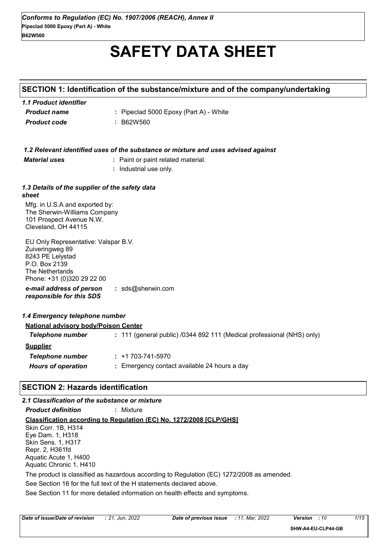# **SAFETY DATA SHEET**

#### **SECTION 1: Identification of the substance/mixture and of the company/undertaking**

| 1.1 Product identifier |                                        |
|------------------------|----------------------------------------|
| <b>Product name</b>    | : Pipeclad 5000 Epoxy (Part A) - White |
| <b>Product code</b>    | : B62W560                              |

|                                                                                                                                               | 1.2 Relevant identified uses of the substance or mixture and uses advised against |  |  |
|-----------------------------------------------------------------------------------------------------------------------------------------------|-----------------------------------------------------------------------------------|--|--|
| <b>Material uses</b>                                                                                                                          | : Paint or paint related material.                                                |  |  |
|                                                                                                                                               | : Industrial use only.                                                            |  |  |
| 1.3 Details of the supplier of the safety data<br>sheet                                                                                       |                                                                                   |  |  |
| Mfg. in U.S.A and exported by:<br>The Sherwin-Williams Company<br>101 Prospect Avenue N.W.<br>Cleveland, OH 44115                             |                                                                                   |  |  |
| EU Only Representative: Valspar B.V.<br>Zuiveringweg 89<br>8243 PE Lelystad<br>P.O. Box 2139<br>The Netherlands<br>Phone: +31 (0)320 29 22 00 |                                                                                   |  |  |
| e-mail address of person<br>responsible for this SDS                                                                                          | : sds@sherwin.com                                                                 |  |  |
| 1.4 Emergency telephone number                                                                                                                |                                                                                   |  |  |
| <b>National advisory body/Poison Center</b>                                                                                                   |                                                                                   |  |  |
| <b>Telephone number</b>                                                                                                                       | : 111 (general public) /0344 892 111 (Medical professional (NHS) only)            |  |  |
| <b>Supplier</b>                                                                                                                               |                                                                                   |  |  |
| <b>Telephone number</b>                                                                                                                       | $: +1703 - 741 - 5970$                                                            |  |  |
| <b>Hours of operation</b>                                                                                                                     | : Emergency contact available 24 hours a day                                      |  |  |
| <b>SECTION 2: Hazards identification</b>                                                                                                      |                                                                                   |  |  |
| 2.1 Classification of the substance or mixture                                                                                                |                                                                                   |  |  |

See Section 11 for more detailed information on health effects and symptoms. **Classification according to Regulation (EC) No. 1272/2008 [CLP/GHS]** *Product definition* **:** Mixture See Section 16 for the full text of the H statements declared above. Skin Corr. 1B, H314 Eye Dam. 1, H318 Skin Sens. 1, H317 Repr. 2, H361fd Aquatic Acute 1, H400 Aquatic Chronic 1, H410 The product is classified as hazardous according to Regulation (EC) 1272/2008 as amended.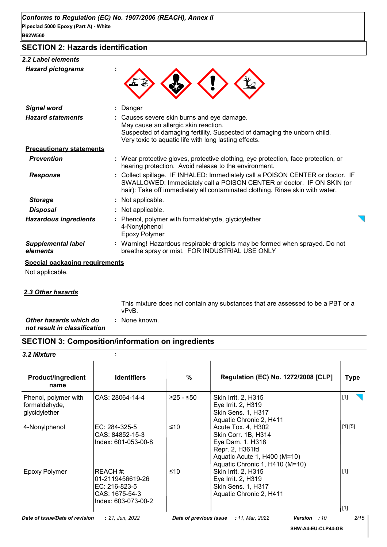#### **SECTION 2: Hazards identification**

#### *2.2 Label elements*

| Danger                                                                                                                                                                                                                                   |  |
|------------------------------------------------------------------------------------------------------------------------------------------------------------------------------------------------------------------------------------------|--|
| : Causes severe skin burns and eye damage.<br>May cause an allergic skin reaction.<br>Suspected of damaging fertility. Suspected of damaging the unborn child.<br>Very toxic to aquatic life with long lasting effects.                  |  |
|                                                                                                                                                                                                                                          |  |
| : Wear protective gloves, protective clothing, eye protection, face protection, or<br>hearing protection. Avoid release to the environment.                                                                                              |  |
| : Collect spillage. IF INHALED: Immediately call a POISON CENTER or doctor. IF<br>SWALLOWED: Immediately call a POISON CENTER or doctor. IF ON SKIN (or<br>hair): Take off immediately all contaminated clothing. Rinse skin with water. |  |
| Not applicable.                                                                                                                                                                                                                          |  |
| Not applicable.                                                                                                                                                                                                                          |  |
| Phenol, polymer with formaldehyde, glycidylether<br>4-Nonylphenol<br><b>Epoxy Polymer</b>                                                                                                                                                |  |
| : Warning! Hazardous respirable droplets may be formed when sprayed. Do not<br>breathe spray or mist. FOR INDUSTRIAL USE ONLY                                                                                                            |  |
|                                                                                                                                                                                                                                          |  |

#### **Special packaging requirements**

Not applicable.

#### *2.3 Other hazards*

*Other hazards which do* **:** *not result in classification* : None known. This mixture does not contain any substances that are assessed to be a PBT or a vPvB.

#### **SECTION 3: Composition/information on ingredients**

#### *3.2 Mixture* **:**

| <b>Product/ingredient</b><br>name                      | <b>Identifiers</b>                                                                      | $\%$      | <b>Regulation (EC) No. 1272/2008 [CLP]</b>                                                                                                         | <b>Type</b> |
|--------------------------------------------------------|-----------------------------------------------------------------------------------------|-----------|----------------------------------------------------------------------------------------------------------------------------------------------------|-------------|
| Phenol, polymer with<br>formaldehyde,<br>glycidylether | ICAS: 28064-14-4                                                                        | ≥25 - ≤50 | <b>Skin Irrit. 2, H315</b><br>Eye Irrit. 2, H319<br>Skin Sens. 1, H317<br>Aquatic Chronic 2, H411                                                  | $[1]$       |
| 4-Nonylphenol                                          | EC: 284-325-5<br>CAS: 84852-15-3<br>Index: 601-053-00-8                                 | ≤10       | Acute Tox. 4, H302<br>Skin Corr. 1B, H314<br>Eye Dam. 1, H318<br>Repr. 2, H361fd<br>Aquatic Acute 1, H400 (M=10)<br>Aquatic Chronic 1, H410 (M=10) | [1] [5]     |
| Epoxy Polymer                                          | REACH #:<br>l01-2119456619-26<br>EC: 216-823-5<br>CAS: 1675-54-3<br>Index: 603-073-00-2 | ≤10       | <b>Skin Irrit. 2, H315</b><br>Eye Irrit. 2, H319<br>Skin Sens. 1, H317<br>Aquatic Chronic 2, H411                                                  | $[1]$       |
|                                                        |                                                                                         |           |                                                                                                                                                    | $\vert$ [1] |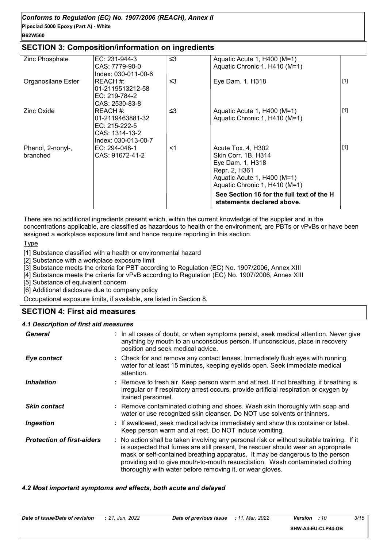# *Conforms to Regulation (EC) No. 1907/2006 (REACH), Annex II*

**Pipeclad 5000 Epoxy (Part A) - White**

#### **B62W560**

#### **SECTION 3: Composition/information on ingredients**

| Zinc Phosphate                | EC: $231-944-3$<br>CAS: 7779-90-0<br>Index: 030-011-00-6                                 | ≤3 | Aquatic Acute 1, H400 (M=1)<br>Aquatic Chronic 1, H410 (M=1)                                                                                                                                                                     |       |
|-------------------------------|------------------------------------------------------------------------------------------|----|----------------------------------------------------------------------------------------------------------------------------------------------------------------------------------------------------------------------------------|-------|
| Organosilane Ester            | REACH #:<br>01-2119513212-58<br>EC: 219-784-2<br>CAS: 2530-83-8                          | ≤3 | Eye Dam. 1, H318                                                                                                                                                                                                                 | $[1]$ |
| Zinc Oxide                    | REACH #:<br>01-2119463881-32<br>$EC: 215-222-5$<br>CAS: 1314-13-2<br>Index: 030-013-00-7 | ≤3 | Aquatic Acute 1, H400 (M=1)<br>Aquatic Chronic 1, H410 (M=1)                                                                                                                                                                     | $[1]$ |
| Phenol, 2-nonyl-,<br>branched | EC: 294-048-1<br>CAS: 91672-41-2                                                         | <1 | Acute Tox. 4, H302<br><b>Skin Corr. 1B, H314</b><br>Eye Dam. 1, H318<br>Repr. 2, H361<br>Aquatic Acute 1, H400 (M=1)<br>Aquatic Chronic 1, H410 (M=1)<br>See Section 16 for the full text of the H<br>statements declared above. | $[1]$ |

There are no additional ingredients present which, within the current knowledge of the supplier and in the concentrations applicable, are classified as hazardous to health or the environment, are PBTs or vPvBs or have been assigned a workplace exposure limit and hence require reporting in this section.

**Type** 

[1] Substance classified with a health or environmental hazard

[2] Substance with a workplace exposure limit

[3] Substance meets the criteria for PBT according to Regulation (EC) No. 1907/2006, Annex XIII

[4] Substance meets the criteria for vPvB according to Regulation (EC) No. 1907/2006, Annex XIII

[5] Substance of equivalent concern

[6] Additional disclosure due to company policy

Occupational exposure limits, if available, are listed in Section 8.

#### **SECTION 4: First aid measures**

#### *4.1 Description of first aid measures*

| <b>General</b>                    | : In all cases of doubt, or when symptoms persist, seek medical attention. Never give<br>anything by mouth to an unconscious person. If unconscious, place in recovery<br>position and seek medical advice.                                                                                                                                                                                                     |
|-----------------------------------|-----------------------------------------------------------------------------------------------------------------------------------------------------------------------------------------------------------------------------------------------------------------------------------------------------------------------------------------------------------------------------------------------------------------|
| <b>Eye contact</b>                | : Check for and remove any contact lenses. Immediately flush eyes with running<br>water for at least 15 minutes, keeping eyelids open. Seek immediate medical<br>attention.                                                                                                                                                                                                                                     |
| <b>Inhalation</b>                 | : Remove to fresh air. Keep person warm and at rest. If not breathing, if breathing is<br>irregular or if respiratory arrest occurs, provide artificial respiration or oxygen by<br>trained personnel.                                                                                                                                                                                                          |
| <b>Skin contact</b>               | : Remove contaminated clothing and shoes. Wash skin thoroughly with soap and<br>water or use recognized skin cleanser. Do NOT use solvents or thinners.                                                                                                                                                                                                                                                         |
| <b>Ingestion</b>                  | : If swallowed, seek medical advice immediately and show this container or label.<br>Keep person warm and at rest. Do NOT induce vomiting.                                                                                                                                                                                                                                                                      |
| <b>Protection of first-aiders</b> | : No action shall be taken involving any personal risk or without suitable training. If it<br>is suspected that fumes are still present, the rescuer should wear an appropriate<br>mask or self-contained breathing apparatus. It may be dangerous to the person<br>providing aid to give mouth-to-mouth resuscitation. Wash contaminated clothing<br>thoroughly with water before removing it, or wear gloves. |

#### *4.2 Most important symptoms and effects, both acute and delayed*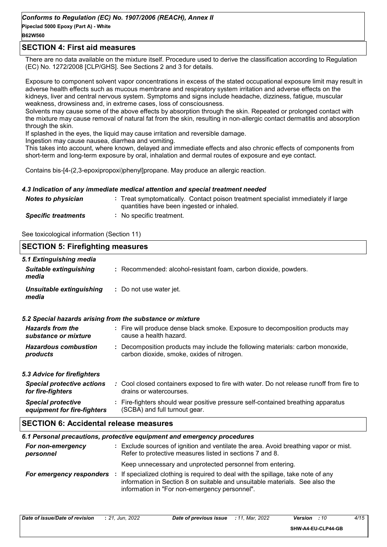#### **SECTION 4: First aid measures**

There are no data available on the mixture itself. Procedure used to derive the classification according to Regulation (EC) No. 1272/2008 [CLP/GHS]. See Sections 2 and 3 for details.

Exposure to component solvent vapor concentrations in excess of the stated occupational exposure limit may result in adverse health effects such as mucous membrane and respiratory system irritation and adverse effects on the kidneys, liver and central nervous system. Symptoms and signs include headache, dizziness, fatigue, muscular weakness, drowsiness and, in extreme cases, loss of consciousness.

Solvents may cause some of the above effects by absorption through the skin. Repeated or prolonged contact with the mixture may cause removal of natural fat from the skin, resulting in non-allergic contact dermatitis and absorption through the skin.

If splashed in the eyes, the liquid may cause irritation and reversible damage.

Ingestion may cause nausea, diarrhea and vomiting.

This takes into account, where known, delayed and immediate effects and also chronic effects of components from short-term and long-term exposure by oral, inhalation and dermal routes of exposure and eye contact.

Contains bis-[4-(2,3-epoxipropoxi)phenyl]propane. May produce an allergic reaction.

#### *4.3 Indication of any immediate medical attention and special treatment needed*

| <b>Notes to physician</b>  | : Treat symptomatically. Contact poison treatment specialist immediately if large<br>quantities have been ingested or inhaled. |
|----------------------------|--------------------------------------------------------------------------------------------------------------------------------|
| <b>Specific treatments</b> | : No specific treatment.                                                                                                       |

See toxicological information (Section 11)

| <b>SECTION 5: Firefighting measures</b>                           |                                                                                                                                                  |  |
|-------------------------------------------------------------------|--------------------------------------------------------------------------------------------------------------------------------------------------|--|
| 5.1 Extinguishing media<br><b>Suitable extinguishing</b><br>media | : Recommended: alcohol-resistant foam, carbon dioxide, powders.                                                                                  |  |
| <b>Unsuitable extinguishing</b><br>media                          | : Do not use water jet.                                                                                                                          |  |
|                                                                   | 5.2 Special hazards arising from the substance or mixture                                                                                        |  |
| <b>Hazards from the</b><br>substance or mixture                   | : Fire will produce dense black smoke. Exposure to decomposition products may<br>cause a health hazard.                                          |  |
| <b>Hazardous combustion</b><br>products                           | : Decomposition products may include the following materials: carbon monoxide,<br>carbon dioxide, smoke, oxides of nitrogen.                     |  |
| 5.3 Advice for firefighters                                       |                                                                                                                                                  |  |
| <b>Special protective actions</b><br>for fire-fighters            | : Cool closed containers exposed to fire with water. Do not release runoff from fire to<br>drains or watercourses.                               |  |
| <b>Special protective</b><br>equipment for fire-fighters          | : Fire-fighters should wear positive pressure self-contained breathing apparatus<br>(SCBA) and full turnout gear.                                |  |
| <b>SECTION 6: Accidental release measures</b>                     |                                                                                                                                                  |  |
|                                                                   | 6.1 Personal precautions, protective equipment and emergency procedures                                                                          |  |
| For non-emergency<br>personnel                                    | : Exclude sources of ignition and ventilate the area. Avoid breathing vapor or mist.<br>Refer to protective measures listed in sections 7 and 8. |  |
|                                                                   | Keep unnecessary and unprotected personnel from entering.                                                                                        |  |
|                                                                   | <b>For emergency responders</b> : If specialized clothing is required to deal with the spillage take note of any                                 |  |

 $\overline{\text{r}}$ g is required to deal with the spillage, tak information in Section 8 on suitable and unsuitable materials. See also the information in "For non-emergency personnel".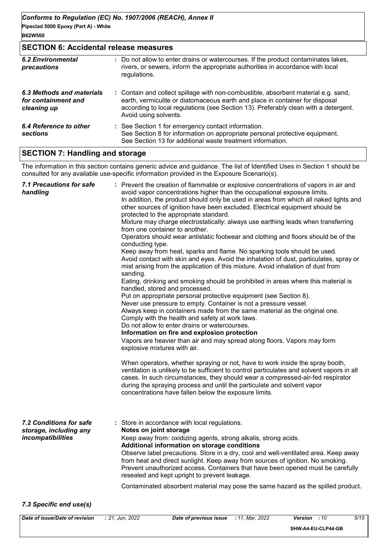#### **SECTION 6: Accidental release measures**

| <b>6.2 Environmental</b><br>precautions                         | : Do not allow to enter drains or watercourses. If the product contaminates lakes,<br>rivers, or sewers, inform the appropriate authorities in accordance with local<br>regulations.                                                                                               |
|-----------------------------------------------------------------|------------------------------------------------------------------------------------------------------------------------------------------------------------------------------------------------------------------------------------------------------------------------------------|
| 6.3 Methods and materials<br>for containment and<br>cleaning up | : Contain and collect spillage with non-combustible, absorbent material e.g. sand,<br>earth, vermiculite or diatomaceous earth and place in container for disposal<br>according to local regulations (see Section 13). Preferably clean with a detergent.<br>Avoid using solvents. |
| 6.4 Reference to other<br>sections                              | : See Section 1 for emergency contact information.<br>See Section 8 for information on appropriate personal protective equipment.<br>See Section 13 for additional waste treatment information.                                                                                    |

### **SECTION 7: Handling and storage**

The information in this section contains generic advice and guidance. The list of Identified Uses in Section 1 should be consulted for any available use-specific information provided in the Exposure Scenario(s).

| <b>7.1 Precautions for safe</b><br>handling                            | : Prevent the creation of flammable or explosive concentrations of vapors in air and<br>avoid vapor concentrations higher than the occupational exposure limits.<br>In addition, the product should only be used in areas from which all naked lights and<br>other sources of ignition have been excluded. Electrical equipment should be<br>protected to the appropriate standard.<br>Mixture may charge electrostatically: always use earthing leads when transferring<br>from one container to another.<br>Operators should wear antistatic footwear and clothing and floors should be of the<br>conducting type.<br>Keep away from heat, sparks and flame. No sparking tools should be used.<br>Avoid contact with skin and eyes. Avoid the inhalation of dust, particulates, spray or<br>mist arising from the application of this mixture. Avoid inhalation of dust from<br>sanding.<br>Eating, drinking and smoking should be prohibited in areas where this material is<br>handled, stored and processed.<br>Put on appropriate personal protective equipment (see Section 8).<br>Never use pressure to empty. Container is not a pressure vessel.<br>Always keep in containers made from the same material as the original one.<br>Comply with the health and safety at work laws.<br>Do not allow to enter drains or watercourses.<br>Information on fire and explosion protection<br>Vapors are heavier than air and may spread along floors. Vapors may form<br>explosive mixtures with air.<br>When operators, whether spraying or not, have to work inside the spray booth,<br>ventilation is unlikely to be sufficient to control particulates and solvent vapors in all<br>cases. In such circumstances, they should wear a compressed-air-fed respirator<br>during the spraying process and until the particulate and solvent vapor<br>concentrations have fallen below the exposure limits. |
|------------------------------------------------------------------------|---------------------------------------------------------------------------------------------------------------------------------------------------------------------------------------------------------------------------------------------------------------------------------------------------------------------------------------------------------------------------------------------------------------------------------------------------------------------------------------------------------------------------------------------------------------------------------------------------------------------------------------------------------------------------------------------------------------------------------------------------------------------------------------------------------------------------------------------------------------------------------------------------------------------------------------------------------------------------------------------------------------------------------------------------------------------------------------------------------------------------------------------------------------------------------------------------------------------------------------------------------------------------------------------------------------------------------------------------------------------------------------------------------------------------------------------------------------------------------------------------------------------------------------------------------------------------------------------------------------------------------------------------------------------------------------------------------------------------------------------------------------------------------------------------------------------------------------------------------------------------------------------------------------|
| 7.2 Conditions for safe<br>storage, including any<br>incompatibilities | : Store in accordance with local regulations.<br>Notes on joint storage<br>Keep away from: oxidizing agents, strong alkalis, strong acids.<br>Additional information on storage conditions<br>Observe label precautions. Store in a dry, cool and well-ventilated area. Keep away<br>from heat and direct sunlight. Keep away from sources of ignition. No smoking.<br>Prevent unauthorized access. Containers that have been opened must be carefully<br>resealed and kept upright to prevent leakage.<br>Contaminated absorbent material may pose the same hazard as the spilled product.                                                                                                                                                                                                                                                                                                                                                                                                                                                                                                                                                                                                                                                                                                                                                                                                                                                                                                                                                                                                                                                                                                                                                                                                                                                                                                                   |
|                                                                        |                                                                                                                                                                                                                                                                                                                                                                                                                                                                                                                                                                                                                                                                                                                                                                                                                                                                                                                                                                                                                                                                                                                                                                                                                                                                                                                                                                                                                                                                                                                                                                                                                                                                                                                                                                                                                                                                                                               |

#### *7.3 Specific end use(s)*

**SHW-A4-EU-CLP44-GB**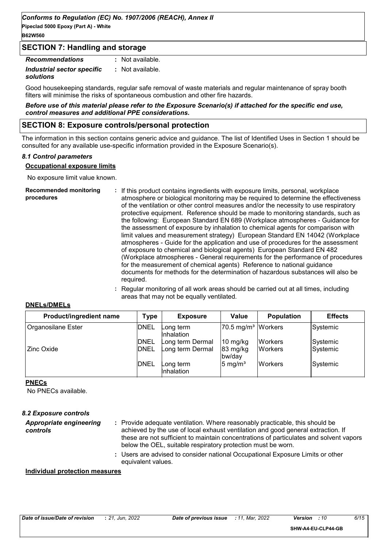**Pipeclad 5000 Epoxy (Part A) - White B62W560**

#### **SECTION 7: Handling and storage**

| <b>Recommendations</b>     | : Not available. |
|----------------------------|------------------|
| Industrial sector specific | : Not available. |
| solutions                  |                  |

Good housekeeping standards, regular safe removal of waste materials and regular maintenance of spray booth filters will minimise the risks of spontaneous combustion and other fire hazards.

#### *Before use of this material please refer to the Exposure Scenario(s) if attached for the specific end use, control measures and additional PPE considerations.*

#### **SECTION 8: Exposure controls/personal protection**

The information in this section contains generic advice and guidance. The list of Identified Uses in Section 1 should be consulted for any available use-specific information provided in the Exposure Scenario(s).

#### *8.1 Control parameters*

#### **Occupational exposure limits**

No exposure limit value known.

| <b>Recommended monitoring</b><br>procedures | : If this product contains ingredients with exposure limits, personal, workplace<br>atmosphere or biological monitoring may be required to determine the effectiveness<br>of the ventilation or other control measures and/or the necessity to use respiratory<br>protective equipment. Reference should be made to monitoring standards, such as<br>the following: European Standard EN 689 (Workplace atmospheres - Guidance for<br>the assessment of exposure by inhalation to chemical agents for comparison with<br>limit values and measurement strategy) European Standard EN 14042 (Workplace<br>atmospheres - Guide for the application and use of procedures for the assessment<br>of exposure to chemical and biological agents) European Standard EN 482<br>(Workplace atmospheres - General requirements for the performance of procedures<br>for the measurement of chemical agents) Reference to national guidance<br>documents for methods for the determination of hazardous substances will also be<br>required. |
|---------------------------------------------|------------------------------------------------------------------------------------------------------------------------------------------------------------------------------------------------------------------------------------------------------------------------------------------------------------------------------------------------------------------------------------------------------------------------------------------------------------------------------------------------------------------------------------------------------------------------------------------------------------------------------------------------------------------------------------------------------------------------------------------------------------------------------------------------------------------------------------------------------------------------------------------------------------------------------------------------------------------------------------------------------------------------------------|
|---------------------------------------------|------------------------------------------------------------------------------------------------------------------------------------------------------------------------------------------------------------------------------------------------------------------------------------------------------------------------------------------------------------------------------------------------------------------------------------------------------------------------------------------------------------------------------------------------------------------------------------------------------------------------------------------------------------------------------------------------------------------------------------------------------------------------------------------------------------------------------------------------------------------------------------------------------------------------------------------------------------------------------------------------------------------------------------|

**:** Regular monitoring of all work areas should be carried out at all times, including areas that may not be equally ventilated.

#### **DNELs/DMELs**

| Product/ingredient name | Type                       | <b>Exposure</b>                      | Value                                                            | <b>Population</b>                 | <b>Effects</b>       |
|-------------------------|----------------------------|--------------------------------------|------------------------------------------------------------------|-----------------------------------|----------------------|
| Organosilane Ester      | <b>DNEL</b>                | Long term<br>Inhalation              | 70.5 mg/m <sup>3</sup> Workers                                   |                                   | Systemic             |
| Zinc Oxide              | <b>DNEL</b><br><b>DNEL</b> | Long term Dermal<br>Long term Dermal | $10 \frac{\text{mg}}{\text{kg}}$<br>$83 \text{ mg/kg}$<br>bw/day | <b>Workers</b><br><b>IWorkers</b> | Systemic<br>Systemic |
|                         | <b>DNEL</b>                | Long term<br>Inhalation              | $5 \text{ mg/m}^3$                                               | <b>Workers</b>                    | Systemic             |

#### **PNECs**

No PNECs available.

| Appropriate engineering<br>controls | : Provide adequate ventilation. Where reasonably practicable, this should be<br>achieved by the use of local exhaust ventilation and good general extraction. If<br>these are not sufficient to maintain concentrations of particulates and solvent vapors<br>below the OEL, suitable respiratory protection must be worn.<br>: Users are advised to consider national Occupational Exposure Limits or other |
|-------------------------------------|--------------------------------------------------------------------------------------------------------------------------------------------------------------------------------------------------------------------------------------------------------------------------------------------------------------------------------------------------------------------------------------------------------------|

# equivalent values.

#### **Individual protection measures**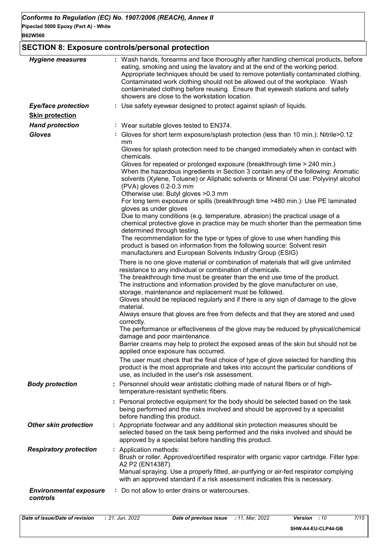### **SECTION 8: Exposure controls/personal protection**

| <b>Hygiene measures</b>                   | : Wash hands, forearms and face thoroughly after handling chemical products, before<br>eating, smoking and using the lavatory and at the end of the working period.<br>Appropriate techniques should be used to remove potentially contaminated clothing.<br>Contaminated work clothing should not be allowed out of the workplace. Wash<br>contaminated clothing before reusing. Ensure that eyewash stations and safety<br>showers are close to the workstation location.                                                                                                                                                                                                                                                                                                                                                                                                                                                                                                                                                                                          |
|-------------------------------------------|----------------------------------------------------------------------------------------------------------------------------------------------------------------------------------------------------------------------------------------------------------------------------------------------------------------------------------------------------------------------------------------------------------------------------------------------------------------------------------------------------------------------------------------------------------------------------------------------------------------------------------------------------------------------------------------------------------------------------------------------------------------------------------------------------------------------------------------------------------------------------------------------------------------------------------------------------------------------------------------------------------------------------------------------------------------------|
| <b>Eye/face protection</b>                | : Use safety eyewear designed to protect against splash of liquids.                                                                                                                                                                                                                                                                                                                                                                                                                                                                                                                                                                                                                                                                                                                                                                                                                                                                                                                                                                                                  |
| <b>Skin protection</b>                    |                                                                                                                                                                                                                                                                                                                                                                                                                                                                                                                                                                                                                                                                                                                                                                                                                                                                                                                                                                                                                                                                      |
| <b>Hand protection</b>                    | : Wear suitable gloves tested to EN374.                                                                                                                                                                                                                                                                                                                                                                                                                                                                                                                                                                                                                                                                                                                                                                                                                                                                                                                                                                                                                              |
| <b>Gloves</b>                             | Gloves for short term exposure/splash protection (less than 10 min.): Nitrile>0.12<br>mm<br>Gloves for splash protection need to be changed immediately when in contact with<br>chemicals.<br>Gloves for repeated or prolonged exposure (breakthrough time > 240 min.)<br>When the hazardous ingredients in Section 3 contain any of the following: Aromatic<br>solvents (Xylene, Toluene) or Aliphatic solvents or Mineral Oil use: Polyvinyl alcohol<br>(PVA) gloves 0.2-0.3 mm<br>Otherwise use: Butyl gloves > 0.3 mm<br>For long term exposure or spills (breakthrough time >480 min.): Use PE laminated<br>gloves as under gloves<br>Due to many conditions (e.g. temperature, abrasion) the practical usage of a<br>chemical protective glove in practice may be much shorter than the permeation time<br>determined through testing.<br>The recommendation for the type or types of glove to use when handling this<br>product is based on information from the following source: Solvent resin<br>manufacturers and European Solvents Industry Group (ESIG) |
|                                           | There is no one glove material or combination of materials that will give unlimited<br>resistance to any individual or combination of chemicals.<br>The breakthrough time must be greater than the end use time of the product.<br>The instructions and information provided by the glove manufacturer on use,<br>storage, maintenance and replacement must be followed.<br>Gloves should be replaced regularly and if there is any sign of damage to the glove<br>material.<br>Always ensure that gloves are free from defects and that they are stored and used<br>correctly.<br>The performance or effectiveness of the glove may be reduced by physical/chemical<br>damage and poor maintenance.<br>Barrier creams may help to protect the exposed areas of the skin but should not be<br>applied once exposure has occurred.<br>The user must check that the final choice of type of glove selected for handling this<br>product is the most appropriate and takes into account the particular conditions of<br>use, as included in the user's risk assessment. |
| <b>Body protection</b>                    | : Personnel should wear antistatic clothing made of natural fibers or of high-<br>temperature-resistant synthetic fibers.                                                                                                                                                                                                                                                                                                                                                                                                                                                                                                                                                                                                                                                                                                                                                                                                                                                                                                                                            |
|                                           | : Personal protective equipment for the body should be selected based on the task<br>being performed and the risks involved and should be approved by a specialist<br>before handling this product.                                                                                                                                                                                                                                                                                                                                                                                                                                                                                                                                                                                                                                                                                                                                                                                                                                                                  |
| <b>Other skin protection</b>              | : Appropriate footwear and any additional skin protection measures should be<br>selected based on the task being performed and the risks involved and should be<br>approved by a specialist before handling this product.                                                                                                                                                                                                                                                                                                                                                                                                                                                                                                                                                                                                                                                                                                                                                                                                                                            |
| <b>Respiratory protection</b>             | : Application methods:<br>Brush or roller. Approved/certified respirator with organic vapor cartridge. Filter type:<br>A2 P2 (EN14387).<br>Manual spraying. Use a properly fitted, air-purifying or air-fed respirator complying<br>with an approved standard if a risk assessment indicates this is necessary.                                                                                                                                                                                                                                                                                                                                                                                                                                                                                                                                                                                                                                                                                                                                                      |
| <b>Environmental exposure</b><br>controls | : Do not allow to enter drains or watercourses.                                                                                                                                                                                                                                                                                                                                                                                                                                                                                                                                                                                                                                                                                                                                                                                                                                                                                                                                                                                                                      |

**SHW-A4-EU-CLP44-GB**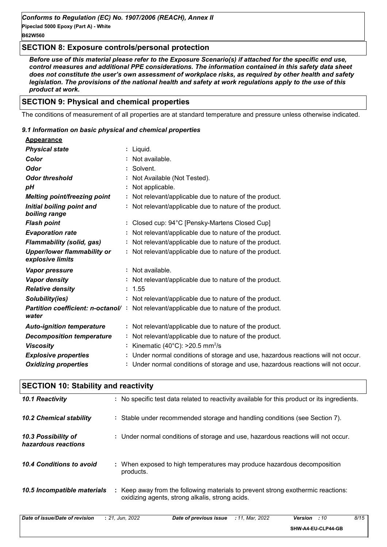#### **SECTION 8: Exposure controls/personal protection**

*Before use of this material please refer to the Exposure Scenario(s) if attached for the specific end use, control measures and additional PPE considerations. The information contained in this safety data sheet does not constitute the user's own assessment of workplace risks, as required by other health and safety legislation. The provisions of the national health and safety at work regulations apply to the use of this product at work.*

#### **SECTION 9: Physical and chemical properties**

The conditions of measurement of all properties are at standard temperature and pressure unless otherwise indicated.

#### *9.1 Information on basic physical and chemical properties*

| <b>Appearance</b>                                      |                                                                                                  |
|--------------------------------------------------------|--------------------------------------------------------------------------------------------------|
| <b>Physical state</b>                                  | : Liquid.                                                                                        |
| Color                                                  | : Not available.                                                                                 |
| <b>Odor</b>                                            | : Solvent.                                                                                       |
| <b>Odor threshold</b>                                  | : Not Available (Not Tested).                                                                    |
| рH                                                     | : Not applicable.                                                                                |
| <b>Melting point/freezing point</b>                    | : Not relevant/applicable due to nature of the product.                                          |
| Initial boiling point and<br>boiling range             | : Not relevant/applicable due to nature of the product.                                          |
| <b>Flash point</b>                                     | : Closed cup: 94°C [Pensky-Martens Closed Cup]                                                   |
| <b>Evaporation rate</b>                                | : Not relevant/applicable due to nature of the product.                                          |
| <b>Flammability (solid, gas)</b>                       | : Not relevant/applicable due to nature of the product.                                          |
| <b>Upper/lower flammability or</b><br>explosive limits | : Not relevant/applicable due to nature of the product.                                          |
| Vapor pressure                                         | : Not available.                                                                                 |
| <b>Vapor density</b>                                   | : Not relevant/applicable due to nature of the product.                                          |
| <b>Relative density</b>                                | : 1.55                                                                                           |
| Solubility(ies)                                        | : Not relevant/applicable due to nature of the product.                                          |
| water                                                  | <b>Partition coefficient: n-octanol/</b> : Not relevant/applicable due to nature of the product. |
| <b>Auto-ignition temperature</b>                       | : Not relevant/applicable due to nature of the product.                                          |
| <b>Decomposition temperature</b>                       | : Not relevant/applicable due to nature of the product.                                          |
| <b>Viscosity</b>                                       | : Kinematic (40°C): >20.5 mm <sup>2</sup> /s                                                     |
| <b>Explosive properties</b>                            | Under normal conditions of storage and use, hazardous reactions will not occur.                  |
| <b>Oxidizing properties</b>                            | : Under normal conditions of storage and use, hazardous reactions will not occur.                |

| <b>SECTION 10: Stability and reactivity</b> |                                                                                                                                     |
|---------------------------------------------|-------------------------------------------------------------------------------------------------------------------------------------|
| 10.1 Reactivity                             | : No specific test data related to reactivity available for this product or its ingredients.                                        |
| <b>10.2 Chemical stability</b>              | : Stable under recommended storage and handling conditions (see Section 7).                                                         |
| 10.3 Possibility of<br>hazardous reactions  | : Under normal conditions of storage and use, hazardous reactions will not occur.                                                   |
| 10.4 Conditions to avoid                    | : When exposed to high temperatures may produce hazardous decomposition<br>products.                                                |
| 10.5 Incompatible materials                 | : Keep away from the following materials to prevent strong exothermic reactions:<br>oxidizing agents, strong alkalis, strong acids. |

| Date of issue/Date of revision | 21. Jun. 2022 : | <b>Date of previous issue</b> | : 11. Mar. 2022 | Version<br>: 16    | 8/15 |
|--------------------------------|-----------------|-------------------------------|-----------------|--------------------|------|
|                                |                 |                               |                 | SHW-A4-EU-CLP44-GB |      |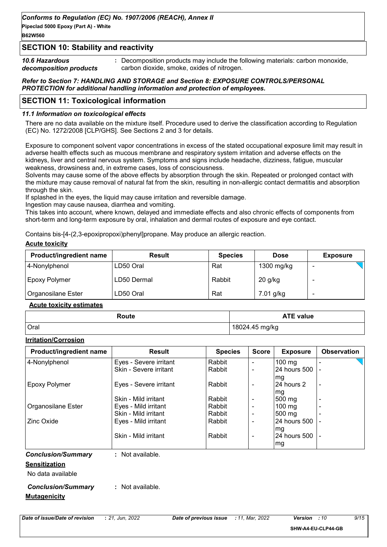**Pipeclad 5000 Epoxy (Part A) - White B62W560**

#### **SECTION 10: Stability and reactivity**

*10.6 Hazardous decomposition products* **:** Decomposition products may include the following materials: carbon monoxide, carbon dioxide, smoke, oxides of nitrogen.

#### *Refer to Section 7: HANDLING AND STORAGE and Section 8: EXPOSURE CONTROLS/PERSONAL PROTECTION for additional handling information and protection of employees.*

#### **SECTION 11: Toxicological information**

#### *11.1 Information on toxicological effects*

There are no data available on the mixture itself. Procedure used to derive the classification according to Regulation (EC) No. 1272/2008 [CLP/GHS]. See Sections 2 and 3 for details.

Exposure to component solvent vapor concentrations in excess of the stated occupational exposure limit may result in adverse health effects such as mucous membrane and respiratory system irritation and adverse effects on the kidneys, liver and central nervous system. Symptoms and signs include headache, dizziness, fatigue, muscular weakness, drowsiness and, in extreme cases, loss of consciousness.

Solvents may cause some of the above effects by absorption through the skin. Repeated or prolonged contact with the mixture may cause removal of natural fat from the skin, resulting in non-allergic contact dermatitis and absorption through the skin.

If splashed in the eyes, the liquid may cause irritation and reversible damage.

Ingestion may cause nausea, diarrhea and vomiting.

This takes into account, where known, delayed and immediate effects and also chronic effects of components from short-term and long-term exposure by oral, inhalation and dermal routes of exposure and eye contact.

Contains bis-[4-(2,3-epoxipropoxi)phenyl]propane. May produce an allergic reaction.

#### **Acute toxicity**

| <b>Product/ingredient name</b> | <b>Result</b> | <b>Species</b> | <b>Dose</b> | <b>Exposure</b> |
|--------------------------------|---------------|----------------|-------------|-----------------|
| 4-Nonylphenol                  | LD50 Oral     | Rat            | 1300 mg/kg  |                 |
| <b>Epoxy Polymer</b>           | LD50 Dermal   | Rabbit         | $20$ g/kg   |                 |
| Organosilane Ester             | LD50 Oral     | Rat            | 7.01 g/kg   |                 |

#### **Acute toxicity estimates**

| Route | <b>ATE value</b> |
|-------|------------------|
| Oral  | 18024.45 mg/kg   |

#### **Irritation/Corrosion**

| Product/ingredient name   | <b>Result</b>          | <b>Species</b> | <b>Score</b>             | <b>Exposure</b>  | <b>Observation</b> |
|---------------------------|------------------------|----------------|--------------------------|------------------|--------------------|
| 4-Nonylphenol             | Eyes - Severe irritant | Rabbit         | Ξ.                       | $100$ mg         |                    |
|                           | Skin - Severe irritant | Rabbit         | $\blacksquare$           | 24 hours 500     |                    |
|                           |                        |                |                          | mg               |                    |
| <b>Epoxy Polymer</b>      | Eyes - Severe irritant | Rabbit         | ۰                        | l24 hours 2      | $\blacksquare$     |
|                           |                        |                |                          | mg               |                    |
|                           | Skin - Mild irritant   | Rabbit         | $\blacksquare$           | 500 mg           |                    |
| Organosilane Ester        | Eyes - Mild irritant   | Rabbit         |                          | $100 \text{ mg}$ |                    |
|                           | Skin - Mild irritant   | Rabbit         | $\overline{\phantom{0}}$ | 500 mg           |                    |
| Zinc Oxide                | Eyes - Mild irritant   | Rabbit         |                          | 24 hours 500     |                    |
|                           |                        |                |                          | mg               |                    |
|                           | Skin - Mild irritant   | Rabbit         | $\overline{\phantom{a}}$ | 24 hours 500     |                    |
|                           |                        |                |                          | mg               |                    |
| <b>Conclusion/Summary</b> | : Not available.       |                |                          |                  |                    |
| <b>Sensitization</b>      |                        |                |                          |                  |                    |
| No data available         |                        |                |                          |                  |                    |
| <b>Conclusion/Summary</b> | : Not available.       |                |                          |                  |                    |

**Mutagenicity**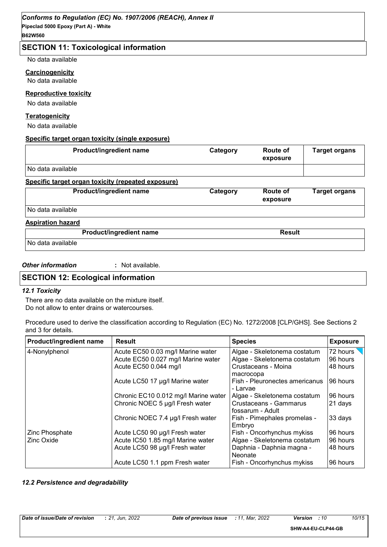#### **SECTION 11: Toxicological information**

No data available

#### **Carcinogenicity**

No data available

#### **Reproductive toxicity**

No data available

#### **Teratogenicity**

No data available

#### **Specific target organ toxicity (single exposure)**

| Product/ingredient name                            | Category | <b>Route of</b><br>exposure | <b>Target organs</b> |
|----------------------------------------------------|----------|-----------------------------|----------------------|
| No data available                                  |          |                             |                      |
| Specific target organ toxicity (repeated exposure) |          |                             |                      |
| Product/ingredient name                            | Category | <b>Route of</b><br>exposure | <b>Target organs</b> |
| No data available                                  |          |                             |                      |
| <b>Aspiration hazard</b>                           |          |                             |                      |
|                                                    |          |                             |                      |

|                   | <b>Product/ingredient name</b> | Result |
|-------------------|--------------------------------|--------|
| No data available |                                |        |

*Other information* **:**

: Not available.

#### **SECTION 12: Ecological information**

#### *12.1 Toxicity*

There are no data available on the mixture itself. Do not allow to enter drains or watercourses.

Procedure used to derive the classification according to Regulation (EC) No. 1272/2008 [CLP/GHS]. See Sections 2 and 3 for details.

| Product/ingredient name | <b>Result</b>                        | <b>Species</b>                             | <b>Exposure</b>  |
|-------------------------|--------------------------------------|--------------------------------------------|------------------|
| 4-Nonylphenol           | Acute EC50 0.03 mg/l Marine water    | Algae - Skeletonema costatum               | 72 hours $\sqrt$ |
|                         | Acute EC50 0.027 mg/l Marine water   | Algae - Skeletonema costatum               | 96 hours         |
|                         | Acute EC50 0.044 mg/l                | Crustaceans - Moina<br>macrocopa           | 48 hours         |
|                         | Acute LC50 17 µg/l Marine water      | Fish - Pleuronectes americanus<br>- Larvae | 96 hours         |
|                         | Chronic EC10 0.012 mg/l Marine water | Algae - Skeletonema costatum               | 96 hours         |
|                         | Chronic NOEC 5 µg/l Fresh water      | Crustaceans - Gammarus<br>fossarum - Adult | 21 days          |
|                         | Chronic NOEC 7.4 µg/l Fresh water    | Fish - Pimephales promelas -<br>Embryo     | 33 days          |
| Zinc Phosphate          | Acute LC50 90 µg/l Fresh water       | Fish - Oncorhynchus mykiss                 | 96 hours         |
| <b>Zinc Oxide</b>       | Acute IC50 1.85 mg/l Marine water    | Algae - Skeletonema costatum               | 96 hours         |
|                         | Acute LC50 98 µg/l Fresh water       | Daphnia - Daphnia magna -<br>Neonate       | 48 hours         |
|                         | Acute LC50 1.1 ppm Fresh water       | Fish - Oncorhynchus mykiss                 | 96 hours         |

#### *12.2 Persistence and degradability*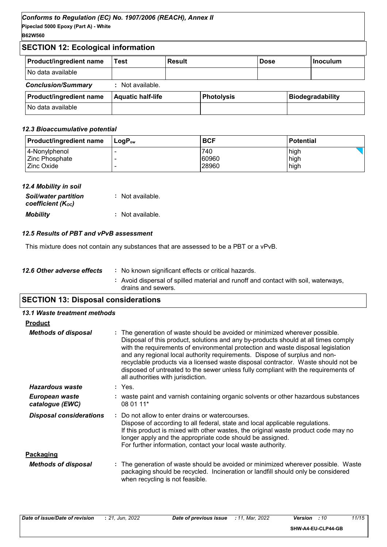### **SECTION 12: Ecological information**

| <b>Product/ingredient name</b> | Test                     | <b>Result</b> |                   | <b>Dose</b> | Inoculum                |
|--------------------------------|--------------------------|---------------|-------------------|-------------|-------------------------|
| No data available              |                          |               |                   |             |                         |
| <b>Conclusion/Summary</b>      | : Not available.         |               |                   |             |                         |
| Product/ingredient name        | <b>Aquatic half-life</b> |               | <b>Photolysis</b> |             | <b>Biodegradability</b> |
| No data available              |                          |               |                   |             |                         |

#### *12.3 Bioaccumulative potential*

| <b>Product/ingredient name</b> | ⊺LoɑP灬 | <b>BCF</b> | <b>Potential</b> |
|--------------------------------|--------|------------|------------------|
| 4-Nonylphenol                  |        | 740        | high             |
| Zinc Phosphate                 |        | 60960      | high             |
| Zinc Oxide                     |        | 28960      | high             |

| 12.4 Mobility in soil                            |                  |
|--------------------------------------------------|------------------|
| <b>Soil/water partition</b><br>coefficient (Koc) | : Not available. |
| <b>Mobility</b>                                  | : Not available. |

#### *12.5 Results of PBT and vPvB assessment*

This mixture does not contain any substances that are assessed to be a PBT or a vPvB.

|                            | : Avoid dispersal of spilled material and runoff and contact with soil, waterways,<br>drains and sewers. |
|----------------------------|----------------------------------------------------------------------------------------------------------|
| 12.6 Other adverse effects | : No known significant effects or critical hazards.                                                      |

# **SECTION 13: Disposal considerations**

| 13.1 Waste treatment methods      |                                                                                                                                                                                                                                                                                                                                                                                                                                                                                                                                                      |
|-----------------------------------|------------------------------------------------------------------------------------------------------------------------------------------------------------------------------------------------------------------------------------------------------------------------------------------------------------------------------------------------------------------------------------------------------------------------------------------------------------------------------------------------------------------------------------------------------|
| <b>Product</b>                    |                                                                                                                                                                                                                                                                                                                                                                                                                                                                                                                                                      |
| <b>Methods of disposal</b>        | : The generation of waste should be avoided or minimized wherever possible.<br>Disposal of this product, solutions and any by-products should at all times comply<br>with the requirements of environmental protection and waste disposal legislation<br>and any regional local authority requirements. Dispose of surplus and non-<br>recyclable products via a licensed waste disposal contractor. Waste should not be<br>disposed of untreated to the sewer unless fully compliant with the requirements of<br>all authorities with jurisdiction. |
| Hazardous waste                   | : Yes.                                                                                                                                                                                                                                                                                                                                                                                                                                                                                                                                               |
| European waste<br>catalogue (EWC) | : waste paint and varnish containing organic solvents or other hazardous substances<br>08 01 11*                                                                                                                                                                                                                                                                                                                                                                                                                                                     |
| <b>Disposal considerations</b>    | Do not allow to enter drains or watercourses.<br>Dispose of according to all federal, state and local applicable regulations.<br>If this product is mixed with other wastes, the original waste product code may no<br>longer apply and the appropriate code should be assigned.<br>For further information, contact your local waste authority.                                                                                                                                                                                                     |
| Packaging                         |                                                                                                                                                                                                                                                                                                                                                                                                                                                                                                                                                      |
| <b>Methods of disposal</b>        | : The generation of waste should be avoided or minimized wherever possible. Waste<br>packaging should be recycled. Incineration or landfill should only be considered<br>when recycling is not feasible.                                                                                                                                                                                                                                                                                                                                             |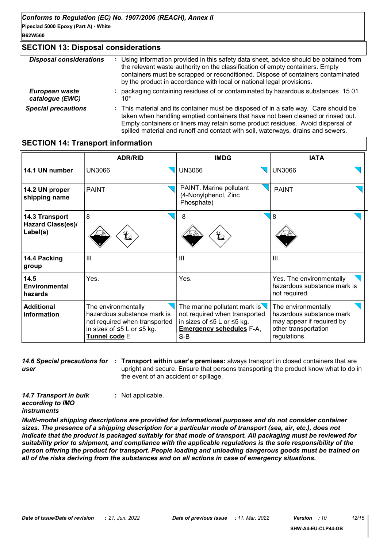#### **SECTION 13: Disposal considerations** *Special precautions* **:** This material and its container must be disposed of in a safe way. Care should be taken when handling emptied containers that have not been cleaned or rinsed out. Empty containers or liners may retain some product residues. Avoid dispersal of spilled material and runoff and contact with soil, waterways, drains and sewers. *Disposal considerations* **:** Using information provided in this safety data sheet, advice should be obtained from the relevant waste authority on the classification of empty containers. Empty containers must be scrapped or reconditioned. Dispose of containers contaminated by the product in accordance with local or national legal provisions. *European waste catalogue (EWC)* **:** packaging containing residues of or contaminated by hazardous substances 15 01 10\*

### **SECTION 14: Transport information**

|                                                        | <b>ADR/RID</b>                                                                                                                     | <b>IMDG</b>                                                                                                                                       | <b>IATA</b>                                                                                                          |
|--------------------------------------------------------|------------------------------------------------------------------------------------------------------------------------------------|---------------------------------------------------------------------------------------------------------------------------------------------------|----------------------------------------------------------------------------------------------------------------------|
| 14.1 UN number                                         | UN3066                                                                                                                             | <b>UN3066</b>                                                                                                                                     | <b>UN3066</b>                                                                                                        |
| 14.2 UN proper<br>shipping name                        | <b>PAINT</b>                                                                                                                       | PAINT. Marine pollutant<br>(4-Nonylphenol, Zinc<br>Phosphate)                                                                                     | <b>PAINT</b>                                                                                                         |
| 14.3 Transport<br><b>Hazard Class(es)/</b><br>Label(s) | 8<br>$\bigstar$                                                                                                                    | 8<br>$\bigstar$                                                                                                                                   | 8                                                                                                                    |
| 14.4 Packing<br>group                                  | III                                                                                                                                | Ш                                                                                                                                                 | III                                                                                                                  |
| 14.5<br>Environmental<br>hazards                       | Yes.                                                                                                                               | Yes.                                                                                                                                              | Yes. The environmentally<br>hazardous substance mark is<br>not required.                                             |
| <b>Additional</b><br>information                       | The environmentally<br>hazardous substance mark is<br>not required when transported<br>in sizes of ≤5 L or ≤5 kg.<br>Tunnel code E | The marine pollutant mark is $\sqrt{}$<br>not required when transported<br>in sizes of ≤5 L or ≤5 kg.<br><b>Emergency schedules F-A,</b><br>$S-B$ | The environmentally<br>hazardous substance mark<br>may appear if required by<br>other transportation<br>regulations. |

**14.6 Special precautions for : Transport within user's premises: always transport in closed containers that are** *user* upright and secure. Ensure that persons transporting the product know what to do in the event of an accident or spillage.

*14.7 Transport in bulk according to IMO instruments*

**:** Not applicable.

*Multi-modal shipping descriptions are provided for informational purposes and do not consider container sizes. The presence of a shipping description for a particular mode of transport (sea, air, etc.), does not indicate that the product is packaged suitably for that mode of transport. All packaging must be reviewed for suitability prior to shipment, and compliance with the applicable regulations is the sole responsibility of the person offering the product for transport. People loading and unloading dangerous goods must be trained on all of the risks deriving from the substances and on all actions in case of emergency situations.*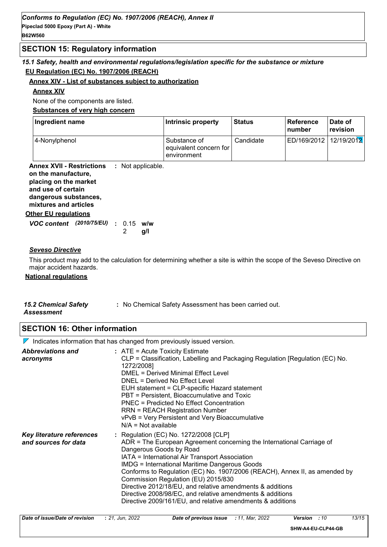#### **SECTION 15: Regulatory information**

#### *15.1 Safety, health and environmental regulations/legislation specific for the substance or mixture* **EU Regulation (EC) No. 1907/2006 (REACH)**

#### **Annex XIV - List of substances subject to authorization**

#### **Annex XIV**

None of the components are listed.

**Substances of very high concern**

| Ingredient name | Intrinsic property                                    | <b>Status</b> | l Reference<br>l number | Date of<br>revision |
|-----------------|-------------------------------------------------------|---------------|-------------------------|---------------------|
| 4-Nonylphenol   | Substance of<br>equivalent concern for<br>environment | Candidate     | ED/169/2012             | 12/19/2012          |

**Annex XVII - Restrictions on the manufacture, placing on the market and use of certain dangerous substances, mixtures and articles :** Not applicable.

#### **Other EU regulations**

| <b>VOC content</b> (2010/75/EU) : 0.15 w/w |  |         |  |
|--------------------------------------------|--|---------|--|
|                                            |  | 2 $a/I$ |  |

#### *Seveso Directive*

This product may add to the calculation for determining whether a site is within the scope of the Seveso Directive on major accident hazards.

#### **National regulations**

# *15.2 Chemical Safety*

**:** No Chemical Safety Assessment has been carried out.

*Assessment*

**SECTION 16: Other information**

 $\nabla$  Indicates information that has changed from previously issued version.

| <b>Abbreviations and</b><br>acronyms              | : ATE = Acute Toxicity Estimate<br>CLP = Classification, Labelling and Packaging Regulation [Regulation (EC) No.<br>1272/2008]<br><b>DMEL = Derived Minimal Effect Level</b><br>DNEL = Derived No Effect Level<br>EUH statement = CLP-specific Hazard statement<br>PBT = Persistent, Bioaccumulative and Toxic<br>PNEC = Predicted No Effect Concentration<br><b>RRN = REACH Registration Number</b><br>vPvB = Very Persistent and Very Bioaccumulative<br>$N/A = Not available$                                                                                 |
|---------------------------------------------------|------------------------------------------------------------------------------------------------------------------------------------------------------------------------------------------------------------------------------------------------------------------------------------------------------------------------------------------------------------------------------------------------------------------------------------------------------------------------------------------------------------------------------------------------------------------|
| Key literature references<br>and sources for data | : Regulation (EC) No. 1272/2008 [CLP]<br>ADR = The European Agreement concerning the International Carriage of<br>Dangerous Goods by Road<br>IATA = International Air Transport Association<br><b>IMDG = International Maritime Dangerous Goods</b><br>Conforms to Regulation (EC) No. 1907/2006 (REACH), Annex II, as amended by<br>Commission Regulation (EU) 2015/830<br>Directive 2012/18/EU, and relative amendments & additions<br>Directive 2008/98/EC, and relative amendments & additions<br>Directive 2009/161/EU, and relative amendments & additions |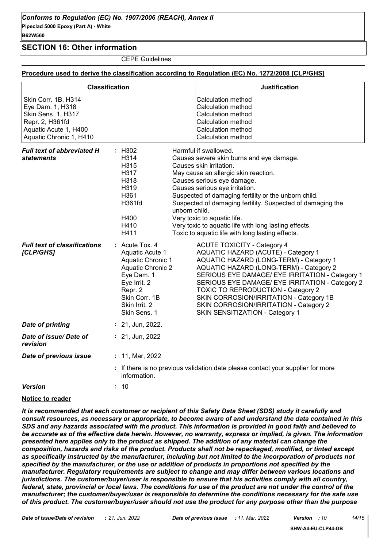#### **SECTION 16: Other information**

CEPE Guidelines

|                                                                                                                                                                                                | <b>Classification</b><br><b>Justification</b>                                                                                                                                                                                                                                                                                                                                                                                                                                                                                                                                                                               |
|------------------------------------------------------------------------------------------------------------------------------------------------------------------------------------------------|-----------------------------------------------------------------------------------------------------------------------------------------------------------------------------------------------------------------------------------------------------------------------------------------------------------------------------------------------------------------------------------------------------------------------------------------------------------------------------------------------------------------------------------------------------------------------------------------------------------------------------|
| Skin Corr. 1B, H314<br>Eye Dam. 1, H318<br>Skin Sens. 1, H317<br>Repr. 2, H361fd<br>Aquatic Acute 1, H400<br>Aquatic Chronic 1, H410<br><b>Full text of abbreviated H</b><br><b>statements</b> | <b>Calculation method</b><br>Calculation method<br>Calculation method<br>Calculation method<br>Calculation method<br><b>Calculation method</b><br>: H302<br>Harmful if swallowed.<br>H314<br>Causes severe skin burns and eye damage.<br>H315<br>Causes skin irritation.<br>H317<br>May cause an allergic skin reaction.<br>H318<br>Causes serious eye damage.<br>H319<br>Causes serious eye irritation.<br>Suspected of damaging fertility or the unborn child.<br>H361<br>H361fd<br>Suspected of damaging fertility. Suspected of damaging the                                                                            |
|                                                                                                                                                                                                | unborn child.<br>H400<br>Very toxic to aquatic life.<br>Very toxic to aquatic life with long lasting effects.<br>H410<br>H411<br>Toxic to aquatic life with long lasting effects.                                                                                                                                                                                                                                                                                                                                                                                                                                           |
| <b>Full text of classifications</b><br>[CLP/GHS]                                                                                                                                               | : Acute Tox. 4<br><b>ACUTE TOXICITY - Category 4</b><br>Aquatic Acute 1<br><b>AQUATIC HAZARD (ACUTE) - Category 1</b><br>AQUATIC HAZARD (LONG-TERM) - Category 1<br>Aquatic Chronic 1<br>Aquatic Chronic 2<br>AQUATIC HAZARD (LONG-TERM) - Category 2<br>SERIOUS EYE DAMAGE/ EYE IRRITATION - Category 1<br>Eye Dam. 1<br>SERIOUS EYE DAMAGE/ EYE IRRITATION - Category 2<br>Eye Irrit. 2<br>Repr. 2<br><b>TOXIC TO REPRODUCTION - Category 2</b><br>Skin Corr. 1B<br>SKIN CORROSION/IRRITATION - Category 1B<br>Skin Irrit. 2<br>SKIN CORROSION/IRRITATION - Category 2<br>Skin Sens. 1<br>SKIN SENSITIZATION - Category 1 |
| <b>Date of printing</b>                                                                                                                                                                        | $: 21,$ Jun, 2022.                                                                                                                                                                                                                                                                                                                                                                                                                                                                                                                                                                                                          |
| Date of issue/ Date of<br>revision                                                                                                                                                             | $: 21,$ Jun, 2022                                                                                                                                                                                                                                                                                                                                                                                                                                                                                                                                                                                                           |
| Date of previous issue                                                                                                                                                                         | : 11, Mar, 2022                                                                                                                                                                                                                                                                                                                                                                                                                                                                                                                                                                                                             |
|                                                                                                                                                                                                | : If there is no previous validation date please contact your supplier for more<br>information.                                                                                                                                                                                                                                                                                                                                                                                                                                                                                                                             |
| <b>Version</b>                                                                                                                                                                                 | : 10                                                                                                                                                                                                                                                                                                                                                                                                                                                                                                                                                                                                                        |

#### **Notice to reader**

*It is recommended that each customer or recipient of this Safety Data Sheet (SDS) study it carefully and consult resources, as necessary or appropriate, to become aware of and understand the data contained in this SDS and any hazards associated with the product. This information is provided in good faith and believed to be accurate as of the effective date herein. However, no warranty, express or implied, is given. The information presented here applies only to the product as shipped. The addition of any material can change the composition, hazards and risks of the product. Products shall not be repackaged, modified, or tinted except*  as specifically instructed by the manufacturer, including but not limited to the incorporation of products not *specified by the manufacturer, or the use or addition of products in proportions not specified by the manufacturer. Regulatory requirements are subject to change and may differ between various locations and jurisdictions. The customer/buyer/user is responsible to ensure that his activities comply with all country, federal, state, provincial or local laws. The conditions for use of the product are not under the control of the manufacturer; the customer/buyer/user is responsible to determine the conditions necessary for the safe use of this product. The customer/buyer/user should not use the product for any purpose other than the purpose*